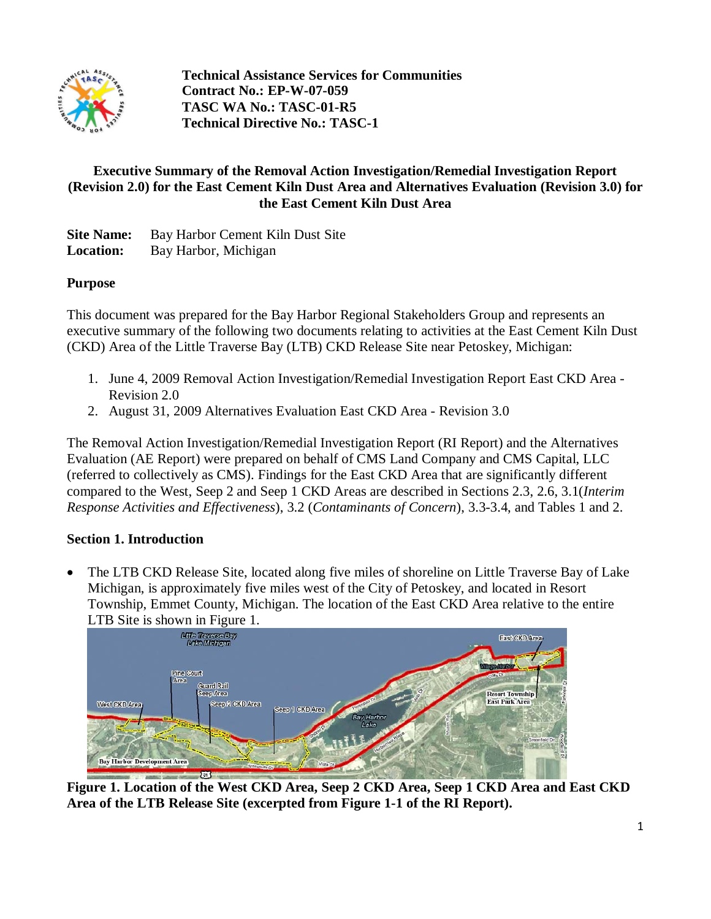

**Technical Assistance Services for Communities Contract No.: EP-W-07-059 TASC WA No.: TASC-01-R5 Technical Directive No.: TASC-1**

## **Executive Summary of the Removal Action Investigation/Remedial Investigation Report (Revision 2.0) for the East Cement Kiln Dust Area and Alternatives Evaluation (Revision 3.0) for the East Cement Kiln Dust Area**

| <b>Site Name:</b> | Bay Harbor Cement Kiln Dust Site |
|-------------------|----------------------------------|
| <b>Location:</b>  | Bay Harbor, Michigan             |

## **Purpose**

This document was prepared for the Bay Harbor Regional Stakeholders Group and represents an executive summary of the following two documents relating to activities at the East Cement Kiln Dust (CKD) Area of the Little Traverse Bay (LTB) CKD Release Site near Petoskey, Michigan:

- 1. June 4, 2009 Removal Action Investigation/Remedial Investigation Report East CKD Area Revision 2.0
- 2. August 31, 2009 Alternatives Evaluation East CKD Area Revision 3.0

The Removal Action Investigation/Remedial Investigation Report (RI Report) and the Alternatives Evaluation (AE Report) were prepared on behalf of CMS Land Company and CMS Capital, LLC (referred to collectively as CMS). Findings for the East CKD Area that are significantly different compared to the West, Seep 2 and Seep 1 CKD Areas are described in Sections 2.3, 2.6, 3.1(*Interim Response Activities and Effectiveness*), 3.2 (*Contaminants of Concern*), 3.3-3.4, and Tables 1 and 2.

## **Section 1. Introduction**

• The LTB CKD Release Site, located along five miles of shoreline on Little Traverse Bay of Lake Michigan, is approximately five miles west of the City of Petoskey, and located in Resort Township, Emmet County, Michigan. The location of the East CKD Area relative to the entire LTB Site is shown in Figure 1.



**Figure 1. Location of the West CKD Area, Seep 2 CKD Area, Seep 1 CKD Area and East CKD Area of the LTB Release Site (excerpted from Figure 1-1 of the RI Report).**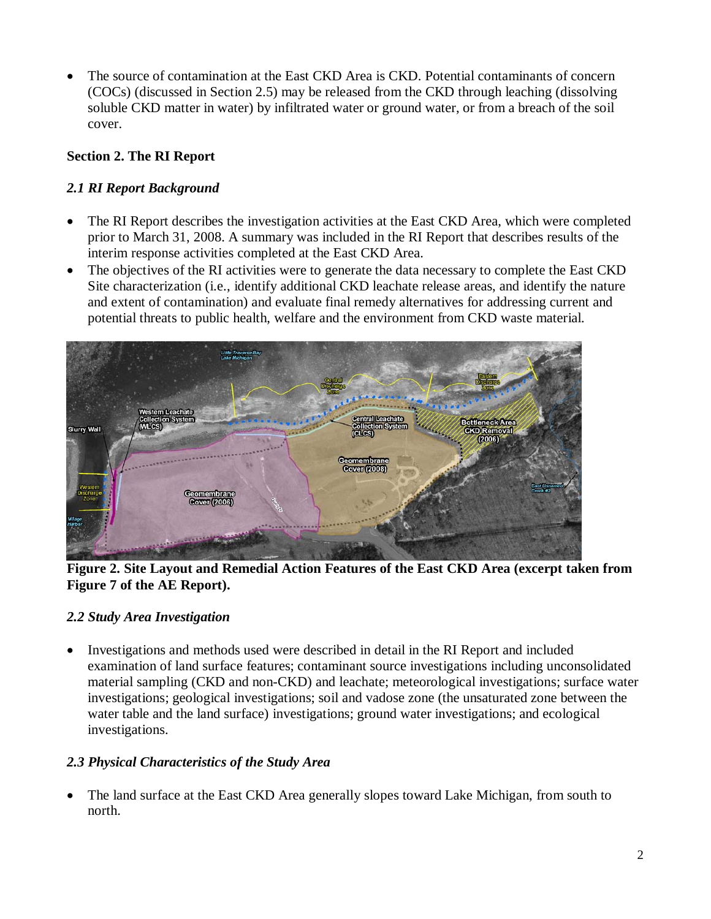The source of contamination at the East CKD Area is CKD. Potential contaminants of concern (COCs) (discussed in Section 2.5) may be released from the CKD through leaching (dissolving soluble CKD matter in water) by infiltrated water or ground water, or from a breach of the soil cover.

# **Section 2. The RI Report**

# *2.1 RI Report Background*

- The RI Report describes the investigation activities at the East CKD Area, which were completed prior to March 31, 2008. A summary was included in the RI Report that describes results of the interim response activities completed at the East CKD Area.
- The objectives of the RI activities were to generate the data necessary to complete the East CKD Site characterization (i.e., identify additional CKD leachate release areas, and identify the nature and extent of contamination) and evaluate final remedy alternatives for addressing current and potential threats to public health, welfare and the environment from CKD waste material.



**Figure 2. Site Layout and Remedial Action Features of the East CKD Area (excerpt taken from Figure 7 of the AE Report).** 

# *2.2 Study Area Investigation*

• Investigations and methods used were described in detail in the RI Report and included examination of land surface features; contaminant source investigations including unconsolidated material sampling (CKD and non-CKD) and leachate; meteorological investigations; surface water investigations; geological investigations; soil and vadose zone (the unsaturated zone between the water table and the land surface) investigations; ground water investigations; and ecological investigations.

# *2.3 Physical Characteristics of the Study Area*

• The land surface at the East CKD Area generally slopes toward Lake Michigan, from south to north.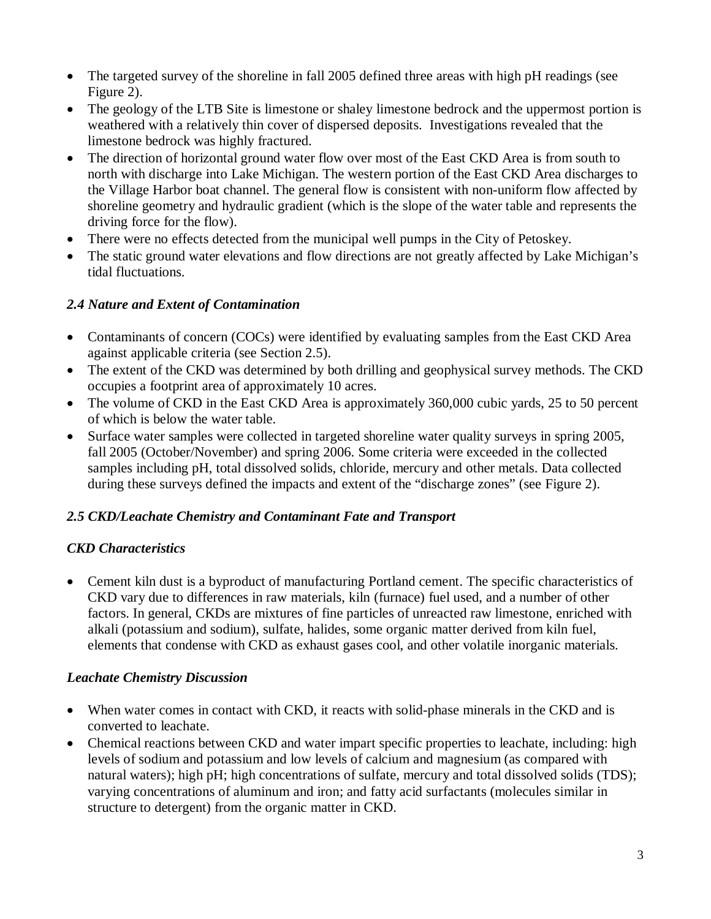- The targeted survey of the shoreline in fall 2005 defined three areas with high pH readings (see Figure 2).
- The geology of the LTB Site is limestone or shaley limestone bedrock and the uppermost portion is weathered with a relatively thin cover of dispersed deposits. Investigations revealed that the limestone bedrock was highly fractured.
- The direction of horizontal ground water flow over most of the East CKD Area is from south to north with discharge into Lake Michigan. The western portion of the East CKD Area discharges to the Village Harbor boat channel. The general flow is consistent with non-uniform flow affected by shoreline geometry and hydraulic gradient (which is the slope of the water table and represents the driving force for the flow).
- There were no effects detected from the municipal well pumps in the City of Petoskey.
- The static ground water elevations and flow directions are not greatly affected by Lake Michigan's tidal fluctuations.

## *2.4 Nature and Extent of Contamination*

- Contaminants of concern (COCs) were identified by evaluating samples from the East CKD Area against applicable criteria (see Section 2.5).
- The extent of the CKD was determined by both drilling and geophysical survey methods. The CKD occupies a footprint area of approximately 10 acres.
- The volume of CKD in the East CKD Area is approximately 360,000 cubic vards, 25 to 50 percent of which is below the water table.
- Surface water samples were collected in targeted shoreline water quality surveys in spring 2005, fall 2005 (October/November) and spring 2006. Some criteria were exceeded in the collected samples including pH, total dissolved solids, chloride, mercury and other metals. Data collected during these surveys defined the impacts and extent of the "discharge zones" (see Figure 2).

# *2.5 CKD/Leachate Chemistry and Contaminant Fate and Transport*

# *CKD Characteristics*

• Cement kiln dust is a byproduct of manufacturing Portland cement. The specific characteristics of CKD vary due to differences in raw materials, kiln (furnace) fuel used, and a number of other factors. In general, CKDs are mixtures of fine particles of unreacted raw limestone, enriched with alkali (potassium and sodium), sulfate, halides, some organic matter derived from kiln fuel, elements that condense with CKD as exhaust gases cool, and other volatile inorganic materials.

## *Leachate Chemistry Discussion*

- When water comes in contact with CKD, it reacts with solid-phase minerals in the CKD and is converted to leachate.
- Chemical reactions between CKD and water impart specific properties to leachate, including: high levels of sodium and potassium and low levels of calcium and magnesium (as compared with natural waters); high pH; high concentrations of sulfate, mercury and total dissolved solids (TDS); varying concentrations of aluminum and iron; and fatty acid surfactants (molecules similar in structure to detergent) from the organic matter in CKD.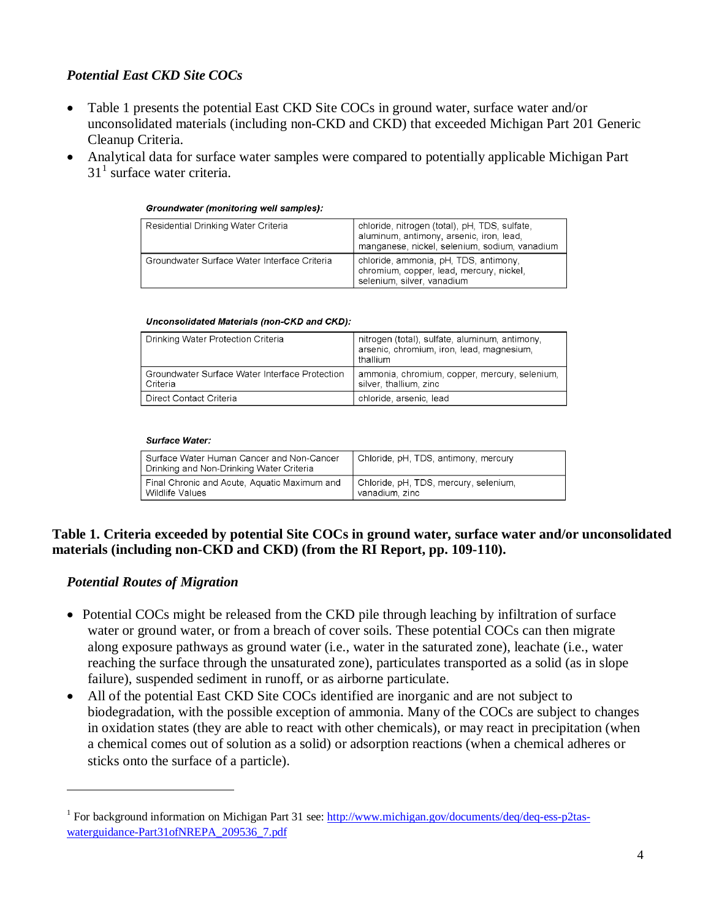## *Potential East CKD Site COCs*

- Table 1 presents the potential East CKD Site COCs in ground water, surface water and/or unconsolidated materials (including non-CKD and CKD) that exceeded Michigan Part 201 Generic Cleanup Criteria.
- Analytical data for surface water samples were compared to potentially applicable Michigan Part  $31<sup>1</sup>$  $31<sup>1</sup>$  $31<sup>1</sup>$  surface water criteria.

| Residential Drinking Water Criteria          | chloride, nitrogen (total), pH, TDS, sulfate,<br>aluminum, antimony, arsenic, iron, lead,<br>manganese, nickel, selenium, sodium, vanadium |  |
|----------------------------------------------|--------------------------------------------------------------------------------------------------------------------------------------------|--|
| Groundwater Surface Water Interface Criteria | chloride, ammonia, pH, TDS, antimony,<br>chromium, copper, lead, mercury, nickel,<br>selenium, silver, vanadium                            |  |

#### Groundwater (monitoring well samples):

#### Unconsolidated Materials (non-CKD and CKD):

| Drinking Water Protection Criteria                         | nitrogen (total), sulfate, aluminum, antimony,<br>arsenic, chromium, iron, lead, magnesium,<br>thallium |
|------------------------------------------------------------|---------------------------------------------------------------------------------------------------------|
| Groundwater Surface Water Interface Protection<br>Criteria | ammonia, chromium, copper, mercury, selenium,<br>silver, thallium, zinc                                 |
| Direct Contact Criteria                                    | chloride, arsenic, lead                                                                                 |

#### Surface Water:

| Surface Water Human Cancer and Non-Cancer<br>Drinking and Non-Drinking Water Criteria | Chloride, pH, TDS, antimony, mercury  |
|---------------------------------------------------------------------------------------|---------------------------------------|
| Final Chronic and Acute, Aquatic Maximum and                                          | Chloride, pH, TDS, mercury, selenium, |
| Wildlife Values                                                                       | vanadium, zinc                        |

#### **Table 1. Criteria exceeded by potential Site COCs in ground water, surface water and/or unconsolidated materials (including non-CKD and CKD) (from the RI Report, pp. 109-110).**

#### *Potential Routes of Migration*

 $\overline{\phantom{a}}$ 

- Potential COCs might be released from the CKD pile through leaching by infiltration of surface water or ground water, or from a breach of cover soils. These potential COCs can then migrate along exposure pathways as ground water (i.e., water in the saturated zone), leachate (i.e., water reaching the surface through the unsaturated zone), particulates transported as a solid (as in slope failure), suspended sediment in runoff, or as airborne particulate.
- All of the potential East CKD Site COCs identified are inorganic and are not subject to biodegradation, with the possible exception of ammonia. Many of the COCs are subject to changes in oxidation states (they are able to react with other chemicals), or may react in precipitation (when a chemical comes out of solution as a solid) or adsorption reactions (when a chemical adheres or sticks onto the surface of a particle).

<span id="page-3-0"></span><sup>&</sup>lt;sup>1</sup> For background information on Michigan Part 31 see[: http://www.michigan.gov/documents/deq/deq-ess-p2tas](http://www.michigan.gov/documents/deq/deq-ess-p2tas-waterguidance-Part31ofNREPA_209536_7.pdf)[waterguidance-Part31ofNREPA\\_209536\\_7.pdf](http://www.michigan.gov/documents/deq/deq-ess-p2tas-waterguidance-Part31ofNREPA_209536_7.pdf)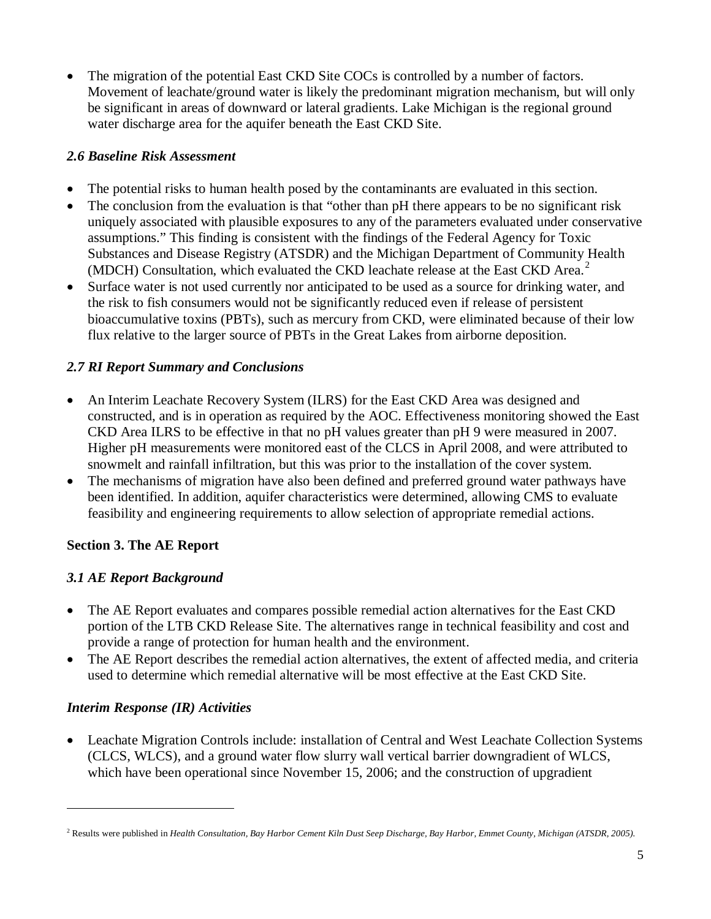The migration of the potential East CKD Site COCs is controlled by a number of factors. Movement of leachate/ground water is likely the predominant migration mechanism, but will only be significant in areas of downward or lateral gradients. Lake Michigan is the regional ground water discharge area for the aquifer beneath the East CKD Site.

# *2.6 Baseline Risk Assessment*

- The potential risks to human health posed by the contaminants are evaluated in this section.
- The conclusion from the evaluation is that "other than pH there appears to be no significant risk uniquely associated with plausible exposures to any of the parameters evaluated under conservative assumptions." This finding is consistent with the findings of the Federal Agency for Toxic Substances and Disease Registry (ATSDR) and the Michigan Department of Community Health (MDCH) Consultation, which evaluated the CKD leachate release at the East CKD Area.<sup>[2](#page-4-0)</sup>
- Surface water is not used currently nor anticipated to be used as a source for drinking water, and the risk to fish consumers would not be significantly reduced even if release of persistent bioaccumulative toxins (PBTs), such as mercury from CKD, were eliminated because of their low flux relative to the larger source of PBTs in the Great Lakes from airborne deposition.

# *2.7 RI Report Summary and Conclusions*

- An Interim Leachate Recovery System (ILRS) for the East CKD Area was designed and constructed, and is in operation as required by the AOC. Effectiveness monitoring showed the East CKD Area ILRS to be effective in that no pH values greater than pH 9 were measured in 2007. Higher pH measurements were monitored east of the CLCS in April 2008, and were attributed to snowmelt and rainfall infiltration, but this was prior to the installation of the cover system.
- The mechanisms of migration have also been defined and preferred ground water pathways have been identified. In addition, aquifer characteristics were determined, allowing CMS to evaluate feasibility and engineering requirements to allow selection of appropriate remedial actions.

# **Section 3. The AE Report**

# *3.1 AE Report Background*

- The AE Report evaluates and compares possible remedial action alternatives for the East CKD portion of the LTB CKD Release Site. The alternatives range in technical feasibility and cost and provide a range of protection for human health and the environment.
- The AE Report describes the remedial action alternatives, the extent of affected media, and criteria used to determine which remedial alternative will be most effective at the East CKD Site.

# *Interim Response (IR) Activities*

 $\overline{a}$ 

• Leachate Migration Controls include: installation of Central and West Leachate Collection Systems (CLCS, WLCS), and a ground water flow slurry wall vertical barrier downgradient of WLCS, which have been operational since November 15, 2006; and the construction of upgradient

<span id="page-4-0"></span><sup>2</sup> Results were published in *Health Consultation, Bay Harbor Cement Kiln Dust Seep Discharge, Bay Harbor, Emmet County, Michigan (ATSDR, 2005).*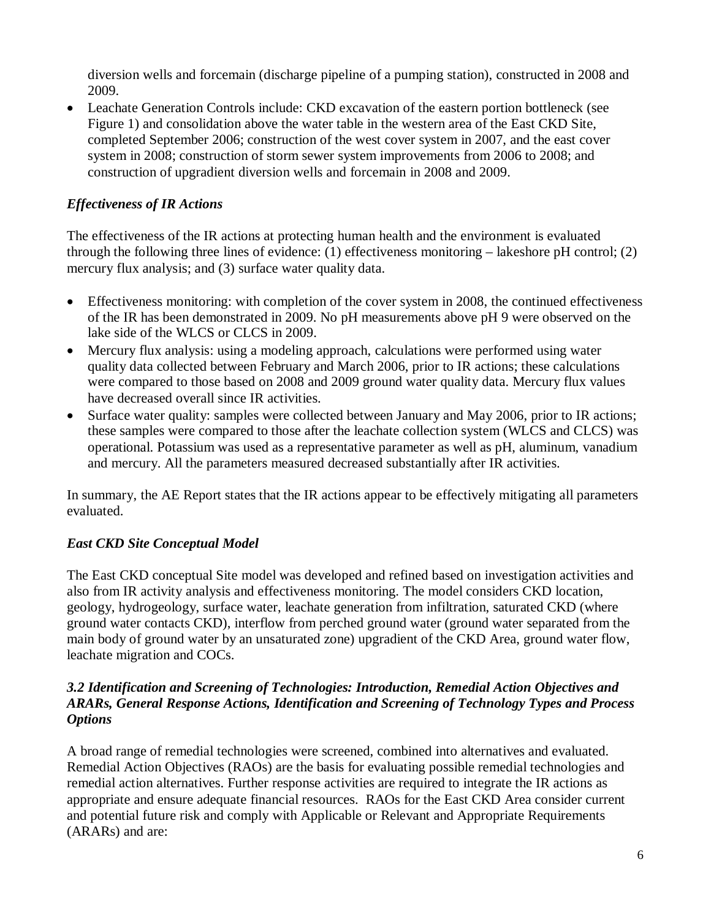diversion wells and forcemain (discharge pipeline of a pumping station), constructed in 2008 and 2009.

• Leachate Generation Controls include: CKD excavation of the eastern portion bottleneck (see Figure 1) and consolidation above the water table in the western area of the East CKD Site, completed September 2006; construction of the west cover system in 2007, and the east cover system in 2008; construction of storm sewer system improvements from 2006 to 2008; and construction of upgradient diversion wells and forcemain in 2008 and 2009.

# *Effectiveness of IR Actions*

The effectiveness of the IR actions at protecting human health and the environment is evaluated through the following three lines of evidence: (1) effectiveness monitoring – lakeshore pH control; (2) mercury flux analysis; and (3) surface water quality data.

- Effectiveness monitoring: with completion of the cover system in 2008, the continued effectiveness of the IR has been demonstrated in 2009. No pH measurements above pH 9 were observed on the lake side of the WLCS or CLCS in 2009.
- Mercury flux analysis: using a modeling approach, calculations were performed using water quality data collected between February and March 2006, prior to IR actions; these calculations were compared to those based on 2008 and 2009 ground water quality data. Mercury flux values have decreased overall since IR activities.
- Surface water quality: samples were collected between January and May 2006, prior to IR actions; these samples were compared to those after the leachate collection system (WLCS and CLCS) was operational. Potassium was used as a representative parameter as well as pH, aluminum, vanadium and mercury. All the parameters measured decreased substantially after IR activities.

In summary, the AE Report states that the IR actions appear to be effectively mitigating all parameters evaluated.

# *East CKD Site Conceptual Model*

The East CKD conceptual Site model was developed and refined based on investigation activities and also from IR activity analysis and effectiveness monitoring. The model considers CKD location, geology, hydrogeology, surface water, leachate generation from infiltration, saturated CKD (where ground water contacts CKD), interflow from perched ground water (ground water separated from the main body of ground water by an unsaturated zone) upgradient of the CKD Area, ground water flow, leachate migration and COCs.

## *3.2 Identification and Screening of Technologies: Introduction, Remedial Action Objectives and ARARs, General Response Actions, Identification and Screening of Technology Types and Process Options*

A broad range of remedial technologies were screened, combined into alternatives and evaluated. Remedial Action Objectives (RAOs) are the basis for evaluating possible remedial technologies and remedial action alternatives. Further response activities are required to integrate the IR actions as appropriate and ensure adequate financial resources. RAOs for the East CKD Area consider current and potential future risk and comply with Applicable or Relevant and Appropriate Requirements (ARARs) and are: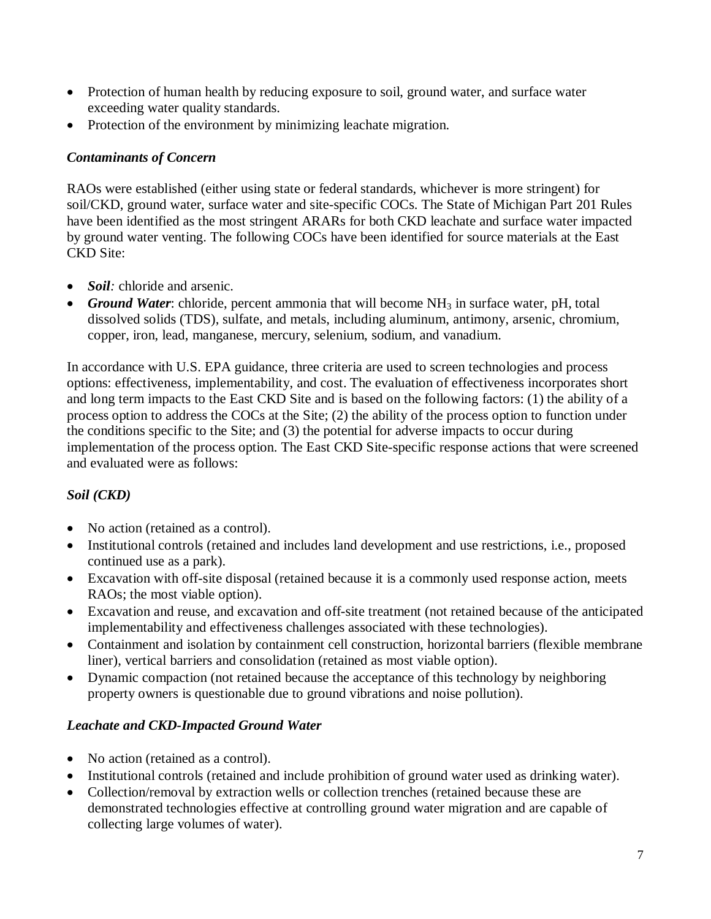- Protection of human health by reducing exposure to soil, ground water, and surface water exceeding water quality standards.
- Protection of the environment by minimizing leachate migration.

# *Contaminants of Concern*

RAOs were established (either using state or federal standards, whichever is more stringent) for soil/CKD, ground water, surface water and site-specific COCs. The State of Michigan Part 201 Rules have been identified as the most stringent ARARs for both CKD leachate and surface water impacted by ground water venting. The following COCs have been identified for source materials at the East CKD Site:

- *Soil:* chloride and arsenic.
- *Ground Water*: chloride, percent ammonia that will become NH<sub>3</sub> in surface water, pH, total dissolved solids (TDS), sulfate, and metals, including aluminum, antimony, arsenic, chromium, copper, iron, lead, manganese, mercury, selenium, sodium, and vanadium.

In accordance with U.S. EPA guidance, three criteria are used to screen technologies and process options: effectiveness, implementability, and cost. The evaluation of effectiveness incorporates short and long term impacts to the East CKD Site and is based on the following factors: (1) the ability of a process option to address the COCs at the Site; (2) the ability of the process option to function under the conditions specific to the Site; and (3) the potential for adverse impacts to occur during implementation of the process option. The East CKD Site-specific response actions that were screened and evaluated were as follows:

# *Soil (CKD)*

- No action (retained as a control).
- Institutional controls (retained and includes land development and use restrictions, i.e., proposed continued use as a park).
- Excavation with off-site disposal (retained because it is a commonly used response action, meets RAOs; the most viable option).
- Excavation and reuse, and excavation and off-site treatment (not retained because of the anticipated implementability and effectiveness challenges associated with these technologies).
- Containment and isolation by containment cell construction, horizontal barriers (flexible membrane liner), vertical barriers and consolidation (retained as most viable option).
- Dynamic compaction (not retained because the acceptance of this technology by neighboring property owners is questionable due to ground vibrations and noise pollution).

# *Leachate and CKD-Impacted Ground Water*

- No action (retained as a control).
- Institutional controls (retained and include prohibition of ground water used as drinking water).
- Collection/removal by extraction wells or collection trenches (retained because these are demonstrated technologies effective at controlling ground water migration and are capable of collecting large volumes of water).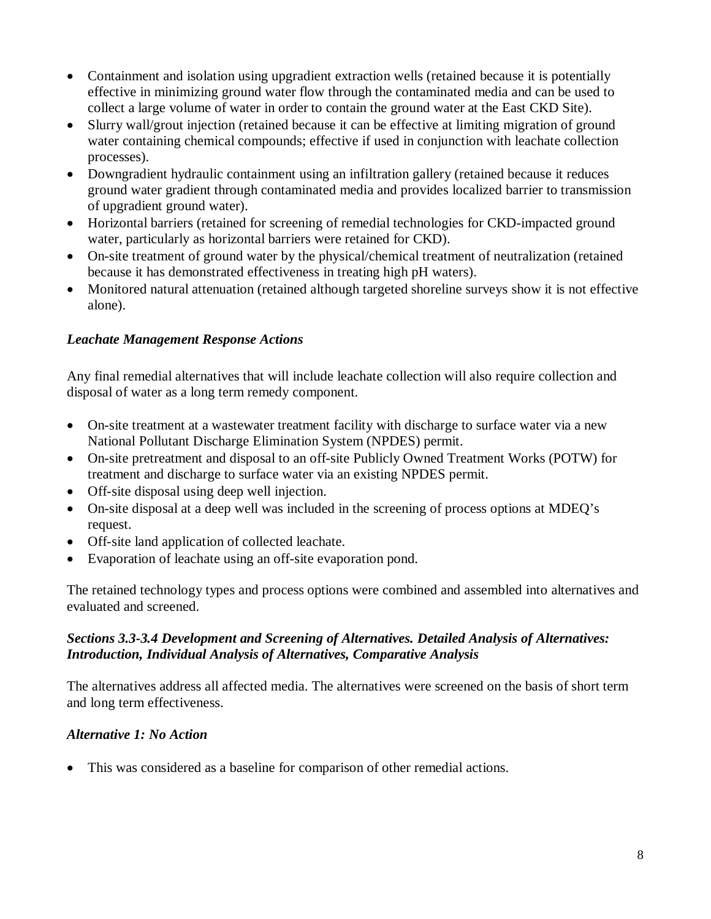- Containment and isolation using upgradient extraction wells (retained because it is potentially effective in minimizing ground water flow through the contaminated media and can be used to collect a large volume of water in order to contain the ground water at the East CKD Site).
- Slurry wall/grout injection (retained because it can be effective at limiting migration of ground water containing chemical compounds; effective if used in conjunction with leachate collection processes).
- Downgradient hydraulic containment using an infiltration gallery (retained because it reduces ground water gradient through contaminated media and provides localized barrier to transmission of upgradient ground water).
- Horizontal barriers (retained for screening of remedial technologies for CKD-impacted ground water, particularly as horizontal barriers were retained for CKD).
- On-site treatment of ground water by the physical/chemical treatment of neutralization (retained because it has demonstrated effectiveness in treating high pH waters).
- Monitored natural attenuation (retained although targeted shoreline surveys show it is not effective alone).

## *Leachate Management Response Actions*

Any final remedial alternatives that will include leachate collection will also require collection and disposal of water as a long term remedy component.

- On-site treatment at a wastewater treatment facility with discharge to surface water via a new National Pollutant Discharge Elimination System (NPDES) permit.
- On-site pretreatment and disposal to an off-site Publicly Owned Treatment Works (POTW) for treatment and discharge to surface water via an existing NPDES permit.
- Off-site disposal using deep well injection.
- On-site disposal at a deep well was included in the screening of process options at MDEQ's request.
- Off-site land application of collected leachate.
- Evaporation of leachate using an off-site evaporation pond.

The retained technology types and process options were combined and assembled into alternatives and evaluated and screened.

## *Sections 3.3-3.4 Development and Screening of Alternatives. Detailed Analysis of Alternatives: Introduction, Individual Analysis of Alternatives, Comparative Analysis*

The alternatives address all affected media. The alternatives were screened on the basis of short term and long term effectiveness.

## *Alternative 1: No Action*

• This was considered as a baseline for comparison of other remedial actions.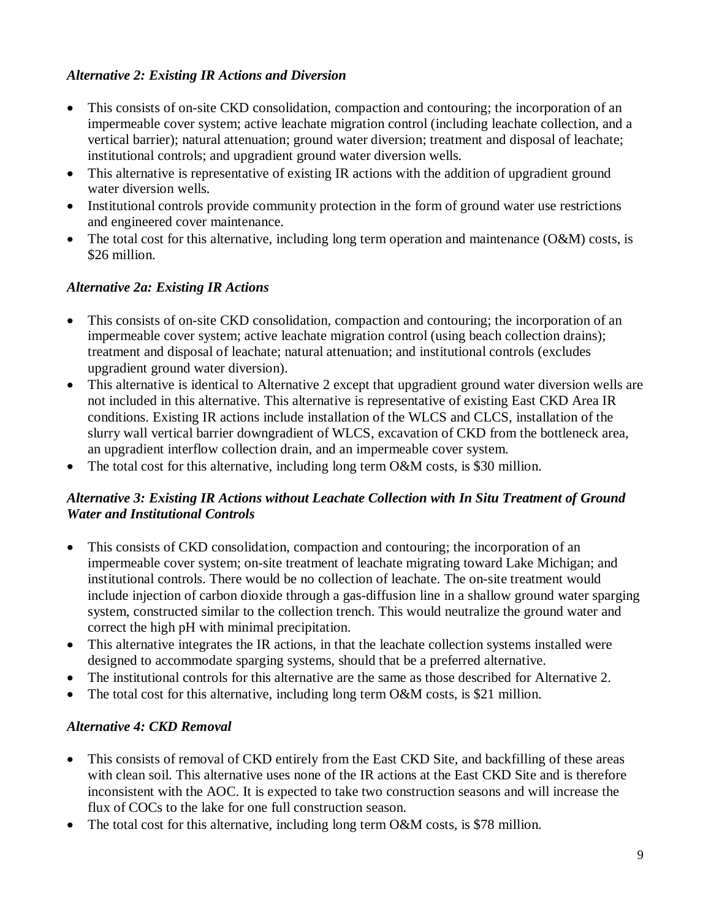# *Alternative 2: Existing IR Actions and Diversion*

- This consists of on-site CKD consolidation, compaction and contouring; the incorporation of an impermeable cover system; active leachate migration control (including leachate collection, and a vertical barrier); natural attenuation; ground water diversion; treatment and disposal of leachate; institutional controls; and upgradient ground water diversion wells.
- This alternative is representative of existing IR actions with the addition of upgradient ground water diversion wells.
- Institutional controls provide community protection in the form of ground water use restrictions and engineered cover maintenance.
- The total cost for this alternative, including long term operation and maintenance  $(O\&M)$  costs, is \$26 million.

# *Alternative 2a: Existing IR Actions*

- This consists of on-site CKD consolidation, compaction and contouring; the incorporation of an impermeable cover system; active leachate migration control (using beach collection drains); treatment and disposal of leachate; natural attenuation; and institutional controls (excludes upgradient ground water diversion).
- This alternative is identical to Alternative 2 except that upgradient ground water diversion wells are not included in this alternative. This alternative is representative of existing East CKD Area IR conditions. Existing IR actions include installation of the WLCS and CLCS, installation of the slurry wall vertical barrier downgradient of WLCS, excavation of CKD from the bottleneck area, an upgradient interflow collection drain, and an impermeable cover system.
- The total cost for this alternative, including long term O&M costs, is \$30 million.

## *Alternative 3: Existing IR Actions without Leachate Collection with In Situ Treatment of Ground Water and Institutional Controls*

- This consists of CKD consolidation, compaction and contouring; the incorporation of an impermeable cover system; on-site treatment of leachate migrating toward Lake Michigan; and institutional controls. There would be no collection of leachate. The on-site treatment would include injection of carbon dioxide through a gas-diffusion line in a shallow ground water sparging system, constructed similar to the collection trench. This would neutralize the ground water and correct the high pH with minimal precipitation.
- This alternative integrates the IR actions, in that the leachate collection systems installed were designed to accommodate sparging systems, should that be a preferred alternative.
- The institutional controls for this alternative are the same as those described for Alternative 2.
- The total cost for this alternative, including long term O&M costs, is \$21 million.

## *Alternative 4: CKD Removal*

- This consists of removal of CKD entirely from the East CKD Site, and backfilling of these areas with clean soil. This alternative uses none of the IR actions at the East CKD Site and is therefore inconsistent with the AOC. It is expected to take two construction seasons and will increase the flux of COCs to the lake for one full construction season.
- The total cost for this alternative, including long term O&M costs, is \$78 million.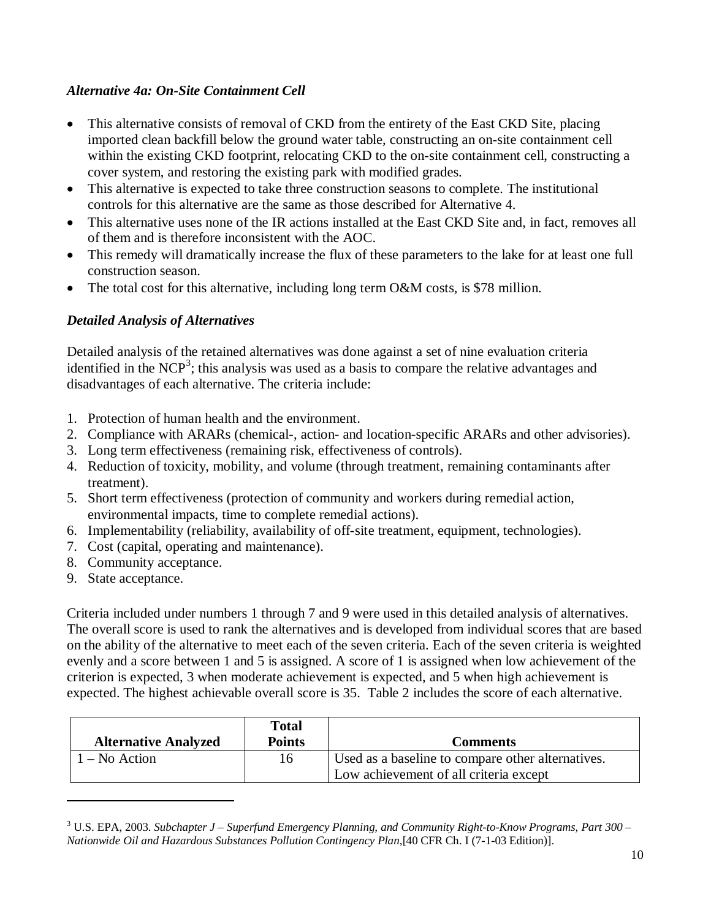## *Alternative 4a: On-Site Containment Cell*

- This alternative consists of removal of CKD from the entirety of the East CKD Site, placing imported clean backfill below the ground water table, constructing an on-site containment cell within the existing CKD footprint, relocating CKD to the on-site containment cell, constructing a cover system, and restoring the existing park with modified grades.
- This alternative is expected to take three construction seasons to complete. The institutional controls for this alternative are the same as those described for Alternative 4.
- This alternative uses none of the IR actions installed at the East CKD Site and, in fact, removes all of them and is therefore inconsistent with the AOC.
- This remedy will dramatically increase the flux of these parameters to the lake for at least one full construction season.
- The total cost for this alternative, including long term O&M costs, is \$78 million.

## *Detailed Analysis of Alternatives*

Detailed analysis of the retained alternatives was done against a set of nine evaluation criteria identified in the NCP<sup>[3](#page-9-0)</sup>; this analysis was used as a basis to compare the relative advantages and disadvantages of each alternative. The criteria include:

- 1. Protection of human health and the environment.
- 2. Compliance with ARARs (chemical-, action- and location-specific ARARs and other advisories).
- 3. Long term effectiveness (remaining risk, effectiveness of controls).
- 4. Reduction of toxicity, mobility, and volume (through treatment, remaining contaminants after treatment).
- 5. Short term effectiveness (protection of community and workers during remedial action, environmental impacts, time to complete remedial actions).
- 6. Implementability (reliability, availability of off-site treatment, equipment, technologies).
- 7. Cost (capital, operating and maintenance).
- 8. Community acceptance.
- 9. State acceptance.

 $\overline{\phantom{a}}$ 

Criteria included under numbers 1 through 7 and 9 were used in this detailed analysis of alternatives. The overall score is used to rank the alternatives and is developed from individual scores that are based on the ability of the alternative to meet each of the seven criteria. Each of the seven criteria is weighted evenly and a score between 1 and 5 is assigned. A score of 1 is assigned when low achievement of the criterion is expected, 3 when moderate achievement is expected, and 5 when high achievement is expected. The highest achievable overall score is 35. Table 2 includes the score of each alternative.

| <b>Alternative Analyzed</b> | Total<br><b>Points</b> | <b>Comments</b>                                                                             |
|-----------------------------|------------------------|---------------------------------------------------------------------------------------------|
| $1 - No$ Action             | 16                     | Used as a baseline to compare other alternatives.<br>Low achievement of all criteria except |

<span id="page-9-0"></span><sup>3</sup> U.S. EPA, 2003. *Subchapter J – Superfund Emergency Planning, and Community Right-to-Know Programs, Part 300 – Nationwide Oil and Hazardous Substances Pollution Contingency Plan,*[40 CFR Ch. I (7-1-03 Edition)].